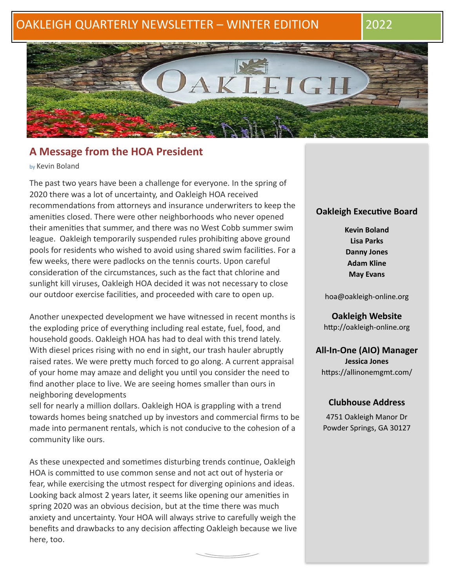# OAKLEIGH QUARTERLY NEWSLETTER – WINTER EDITION 2022



# **A Message from the HOA President**

by Kevin Boland

The past two years have been a challenge for everyone. In the spring of 2020 there was a lot of uncertainty, and Oakleigh HOA received recommendations from attorneys and insurance underwriters to keep the amenities closed. There were other neighborhoods who never opened their amenities that summer, and there was no West Cobb summer swim league. Oakleigh temporarily suspended rules prohibiting above ground pools for residents who wished to avoid using shared swim facilities. For a few weeks, there were padlocks on the tennis courts. Upon careful consideration of the circumstances, such as the fact that chlorine and sunlight kill viruses, Oakleigh HOA decided it was not necessary to close our outdoor exercise facilities, and proceeded with care to open up.

Another unexpected development we have witnessed in recent months is the exploding price of everything including real estate, fuel, food, and household goods. Oakleigh HOA has had to deal with this trend lately. With diesel prices rising with no end in sight, our trash hauler abruptly raised rates. We were pretty much forced to go along. A current appraisal of your home may amaze and delight you until you consider the need to find another place to live. We are seeing homes smaller than ours in neighboring developments

sell for nearly a million dollars. Oakleigh HOA is grappling with a trend towards homes being snatched up by investors and commercial firms to be made into permanent rentals, which is not conducive to the cohesion of a community like ours.

As these unexpected and sometimes disturbing trends continue, Oakleigh HOA is committed to use common sense and not act out of hysteria or fear, while exercising the utmost respect for diverging opinions and ideas. Looking back almost 2 years later, it seems like opening our amenities in spring 2020 was an obvious decision, but at the time there was much anxiety and uncertainty. Your HOA will always strive to carefully weigh the benefits and drawbacks to any decision affecting Oakleigh because we live here, too.

### **Oakleigh Executive Board**

**Kevin Boland Lisa Parks Danny Jones Adam Kline May Evans**

[hoa@oakleigh-online.org](mailto:hoa@oakleigh-online.org)

**Oakleigh Website** <http://oakleigh-online.org>

**All-In-One (AIO) Manager Jessica Jones** <https://allinonemgmt.com/>

# **Clubhouse Address**

4751 Oakleigh Manor Dr Powder Springs, GA 30127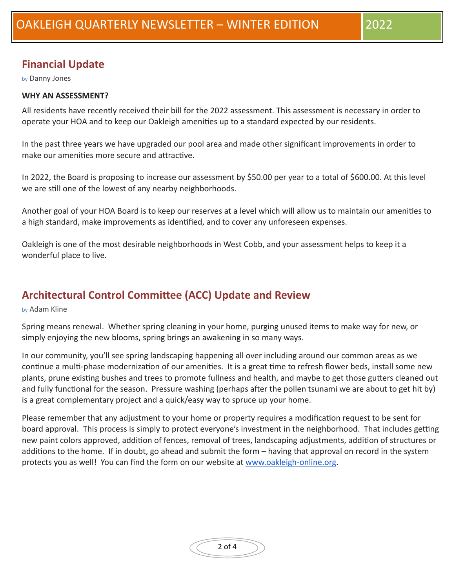# **Financial Update**

by Danny Jones

# **WHY AN ASSESSMENT?**

All residents have recently received their bill for the 2022 assessment. This assessment is necessary in order to operate your HOA and to keep our Oakleigh amenities up to a standard expected by our residents.

In the past three years we have upgraded our pool area and made other significant improvements in order to make our amenities more secure and attractive.

In 2022, the Board is proposing to increase our assessment by \$50.00 per year to a total of \$600.00. At this level we are still one of the lowest of any nearby neighborhoods.

Another goal of your HOA Board is to keep our reserves at a level which will allow us to maintain our amenities to a high standard, make improvements as identified, and to cover any unforeseen expenses.

Oakleigh is one of the most desirable neighborhoods in West Cobb, and your assessment helps to keep it a wonderful place to live.

# **Architectural Control Committee (ACC) Update and Review**

by Adam Kline

Spring means renewal. Whether spring cleaning in your home, purging unused items to make way for new, or simply enjoying the new blooms, spring brings an awakening in so many ways.

In our community, you'll see spring landscaping happening all over including around our common areas as we continue a multi-phase modernization of our amenities. It is a great time to refresh flower beds, install some new plants, prune existing bushes and trees to promote fullness and health, and maybe to get those gutters cleaned out and fully functional for the season. Pressure washing (perhaps after the pollen tsunami we are about to get hit by) is a great complementary project and a quick/easy way to spruce up your home.

Please remember that any adjustment to your home or property requires a modification request to be sent for board approval. This process is simply to protect everyone's investment in the neighborhood. That includes getting new paint colors approved, addition of fences, removal of trees, landscaping adjustments, addition of structures or additions to the home. If in doubt, go ahead and submit the form – having that approval on record in the system protects you as well! You can find the form on our website at [www.oakleigh-online.org.](http://www.oakleigh-online.org/)

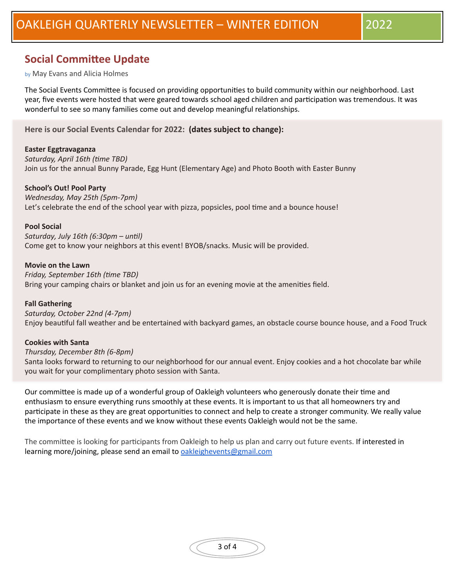# **Social Committee Update**

#### by May Evans and Alicia Holmes

The Social Events Committee is focused on providing opportunities to build community within our neighborhood. Last year, five events were hosted that were geared towards school aged children and participation was tremendous. It was wonderful to see so many families come out and develop meaningful relationships.

**Here is our Social Events Calendar for 2022: (dates subject to change):**

#### **Easter Eggtravaganza**

Saturday, April 16th (time TBD)

Join us for the annual Bunny Parade, Egg Hunt (Elementary Age) and Photo Booth with Easter Bunny

#### **School's Out! Pool Party**

Wednesday, May 25th (5pm-7pm)

Let's celebrate the end of the school year with pizza, popsicles, pool time and a bounce house!

#### **Pool Social**

Saturday, July 16th (6:30pm - until) Come get to know your neighbors at this event! BYOB/snacks. Music will be provided.

#### **Movie on the Lawn**

*Friday, September 16th (time TBD)* Bring your camping chairs or blanket and join us for an evening movie at the amenities field.

**Fall Gathering** *Saturday, October 22nd (4-7pm)* Enjoy beautiful fall weather and be entertained with backyard games, an obstacle course bounce house, and a Food Truck

#### **Cookies with Santa**

#### *Thursday, December 8th (6-8pm)*

Santa looks forward to returning to our neighborhood for our annual event. Enjoy cookies and a hot chocolate bar while you wait for your complimentary photo session with Santa.

Our committee is made up of a wonderful group of Oakleigh volunteers who generously donate their time and enthusiasm to ensure everything runs smoothly at these events. It is important to us that all homeowners try and participate in these as they are great opportunities to connect and help to create a stronger community. We really value the importance of these events and we know without these events Oakleigh would not be the same.

The committee is looking for participants from Oakleigh to help us plan and carry out future events. If interested in learning more/joining, please send an email to **oakleighevents@gmail.com**